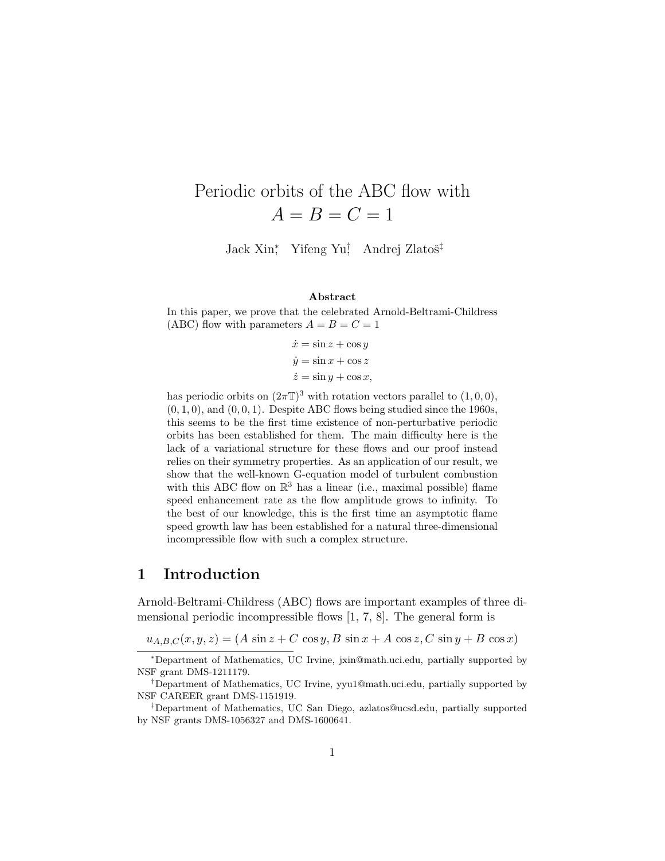# Periodic orbits of the ABC flow with  $A = B = C = 1$

Jack Xin<sup>\*</sup>, Yifeng Yu<sup>†</sup>, Andrej Zlatoš<sup>‡</sup>

#### Abstract

In this paper, we prove that the celebrated Arnold-Beltrami-Childress (ABC) flow with parameters  $A = B = C = 1$ 

> $\dot{x} = \sin z + \cos y$  $\dot{y} = \sin x + \cos z$  $\dot{z} = \sin y + \cos x,$

has periodic orbits on  $(2\pi\mathbb{T})^3$  with rotation vectors parallel to  $(1,0,0)$ ,  $(0, 1, 0)$ , and  $(0, 0, 1)$ . Despite ABC flows being studied since the 1960s, this seems to be the first time existence of non-perturbative periodic orbits has been established for them. The main difficulty here is the lack of a variational structure for these flows and our proof instead relies on their symmetry properties. As an application of our result, we show that the well-known G-equation model of turbulent combustion with this ABC flow on  $\mathbb{R}^3$  has a linear (i.e., maximal possible) flame speed enhancement rate as the flow amplitude grows to infinity. To the best of our knowledge, this is the first time an asymptotic flame speed growth law has been established for a natural three-dimensional incompressible flow with such a complex structure.

### 1 Introduction

Arnold-Beltrami-Childress (ABC) flows are important examples of three dimensional periodic incompressible flows [1, 7, 8]. The general form is

 $u_{A,B,C}(x, y, z) = (A \sin z + C \cos y, B \sin x + A \cos z, C \sin y + B \cos x)$ 

<sup>∗</sup>Department of Mathematics, UC Irvine, jxin@math.uci.edu, partially supported by NSF grant DMS-1211179.

<sup>†</sup>Department of Mathematics, UC Irvine, yyu1@math.uci.edu, partially supported by NSF CAREER grant DMS-1151919.

<sup>‡</sup>Department of Mathematics, UC San Diego, azlatos@ucsd.edu, partially supported by NSF grants DMS-1056327 and DMS-1600641.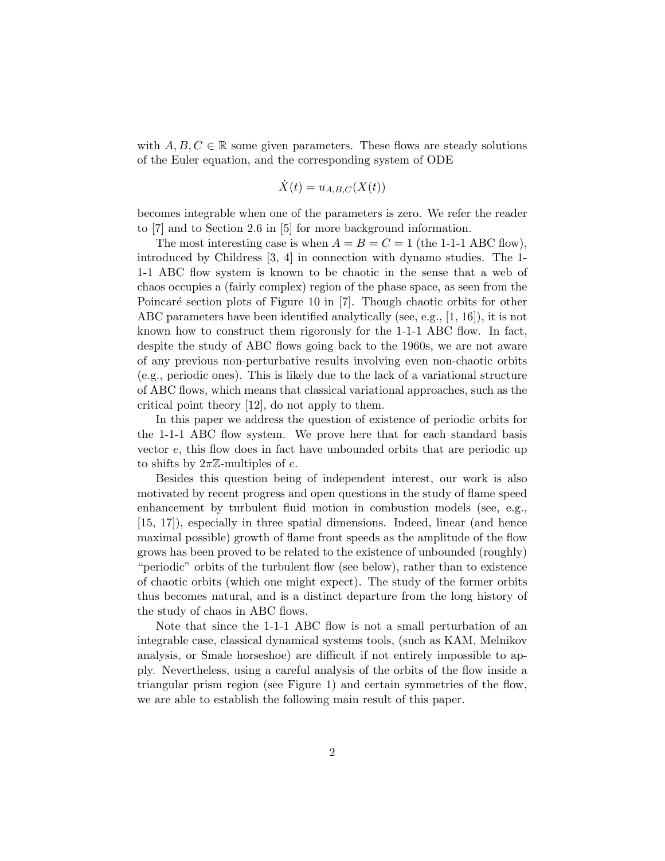with  $A, B, C \in \mathbb{R}$  some given parameters. These flows are steady solutions of the Euler equation, and the corresponding system of ODE

$$
\dot{X}(t) = u_{A,B,C}(X(t))
$$

becomes integrable when one of the parameters is zero. We refer the reader to [7] and to Section 2.6 in [5] for more background information.

The most interesting case is when  $A = B = C = 1$  (the 1-1-1 ABC flow), introduced by Childress [3, 4] in connection with dynamo studies. The 1- 1-1 ABC flow system is known to be chaotic in the sense that a web of chaos occupies a (fairly complex) region of the phase space, as seen from the Poincaré section plots of Figure 10 in [7]. Though chaotic orbits for other ABC parameters have been identified analytically (see, e.g., [1, 16]), it is not known how to construct them rigorously for the 1-1-1 ABC flow. In fact, despite the study of ABC flows going back to the 1960s, we are not aware of any previous non-perturbative results involving even non-chaotic orbits (e.g., periodic ones). This is likely due to the lack of a variational structure of ABC flows, which means that classical variational approaches, such as the critical point theory [12], do not apply to them.

In this paper we address the question of existence of periodic orbits for the 1-1-1 ABC flow system. We prove here that for each standard basis vector  $e$ , this flow does in fact have unbounded orbits that are periodic up to shifts by  $2\pi\mathbb{Z}$ -multiples of e.

Besides this question being of independent interest, our work is also motivated by recent progress and open questions in the study of flame speed enhancement by turbulent fluid motion in combustion models (see, e.g., [15, 17]), especially in three spatial dimensions. Indeed, linear (and hence maximal possible) growth of flame front speeds as the amplitude of the flow grows has been proved to be related to the existence of unbounded (roughly) "periodic" orbits of the turbulent flow (see below), rather than to existence of chaotic orbits (which one might expect). The study of the former orbits thus becomes natural, and is a distinct departure from the long history of the study of chaos in ABC flows.

Note that since the 1-1-1 ABC flow is not a small perturbation of an integrable case, classical dynamical systems tools, (such as KAM, Melnikov analysis, or Smale horseshoe) are difficult if not entirely impossible to apply. Nevertheless, using a careful analysis of the orbits of the flow inside a triangular prism region (see Figure 1) and certain symmetries of the flow, we are able to establish the following main result of this paper.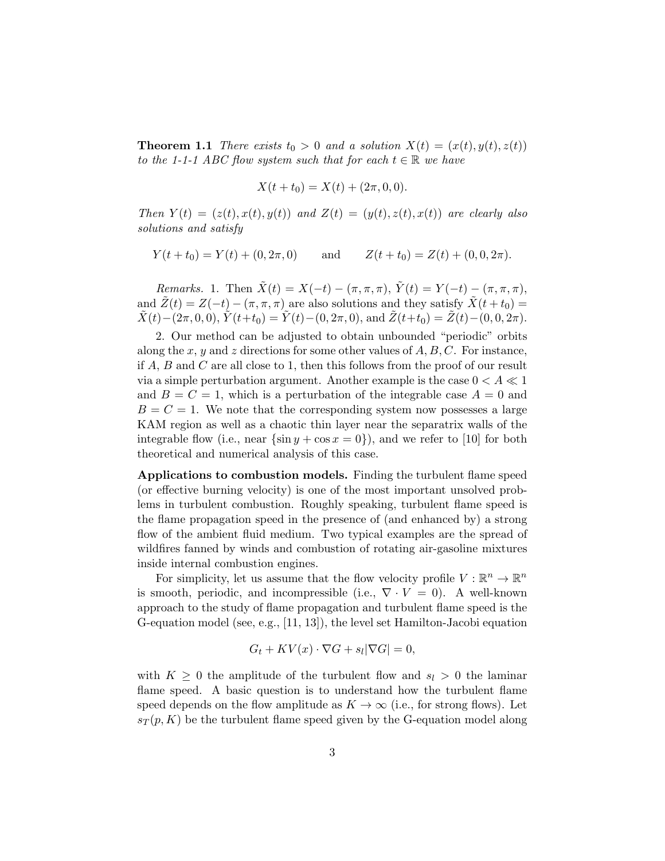**Theorem 1.1** There exists  $t_0 > 0$  and a solution  $X(t) = (x(t), y(t), z(t))$ to the 1-1-1 ABC flow system such that for each  $t \in \mathbb{R}$  we have

$$
X(t + t_0) = X(t) + (2\pi, 0, 0).
$$

Then  $Y(t) = (z(t), x(t), y(t))$  and  $Z(t) = (y(t), z(t), x(t))$  are clearly also solutions and satisfy

$$
Y(t+t_0) = Y(t) + (0, 2\pi, 0)
$$
 and  $Z(t+t_0) = Z(t) + (0, 0, 2\pi).$ 

Remarks. 1. Then  $\tilde{X}(t) = X(-t) - (\pi, \pi, \pi), \ \tilde{Y}(t) = Y(-t) - (\pi, \pi, \pi),$ and  $\tilde{Z}(t) = Z(-t) - (\pi, \pi, \pi)$  are also solutions and they satisfy  $\tilde{X}(t + t_0) =$  $\tilde{X}(t)-(2\pi, 0, 0), \tilde{Y}(t+t_0)=\tilde{Y}(t)-(0, 2\pi, 0),$  and  $\tilde{Z}(t+t_0)=\tilde{Z}(t)-(0, 0, 2\pi).$ 

2. Our method can be adjusted to obtain unbounded "periodic" orbits along the x, y and z directions for some other values of  $A, B, C$ . For instance, if A, B and C are all close to 1, then this follows from the proof of our result via a simple perturbation argument. Another example is the case  $0 < A \ll 1$ and  $B = C = 1$ , which is a perturbation of the integrable case  $A = 0$  and  $B = C = 1$ . We note that the corresponding system now possesses a large KAM region as well as a chaotic thin layer near the separatrix walls of the integrable flow (i.e., near  $\{\sin y + \cos x = 0\}$ ), and we refer to [10] for both theoretical and numerical analysis of this case.

Applications to combustion models. Finding the turbulent flame speed (or effective burning velocity) is one of the most important unsolved problems in turbulent combustion. Roughly speaking, turbulent flame speed is the flame propagation speed in the presence of (and enhanced by) a strong flow of the ambient fluid medium. Two typical examples are the spread of wildfires fanned by winds and combustion of rotating air-gasoline mixtures inside internal combustion engines.

For simplicity, let us assume that the flow velocity profile  $V : \mathbb{R}^n \to \mathbb{R}^n$ is smooth, periodic, and incompressible (i.e.,  $\nabla \cdot V = 0$ ). A well-known approach to the study of flame propagation and turbulent flame speed is the G-equation model (see, e.g., [11, 13]), the level set Hamilton-Jacobi equation

$$
G_t + KV(x) \cdot \nabla G + s_l|\nabla G| = 0,
$$

with  $K \geq 0$  the amplitude of the turbulent flow and  $s_l > 0$  the laminar flame speed. A basic question is to understand how the turbulent flame speed depends on the flow amplitude as  $K \to \infty$  (i.e., for strong flows). Let  $s_T(p, K)$  be the turbulent flame speed given by the G-equation model along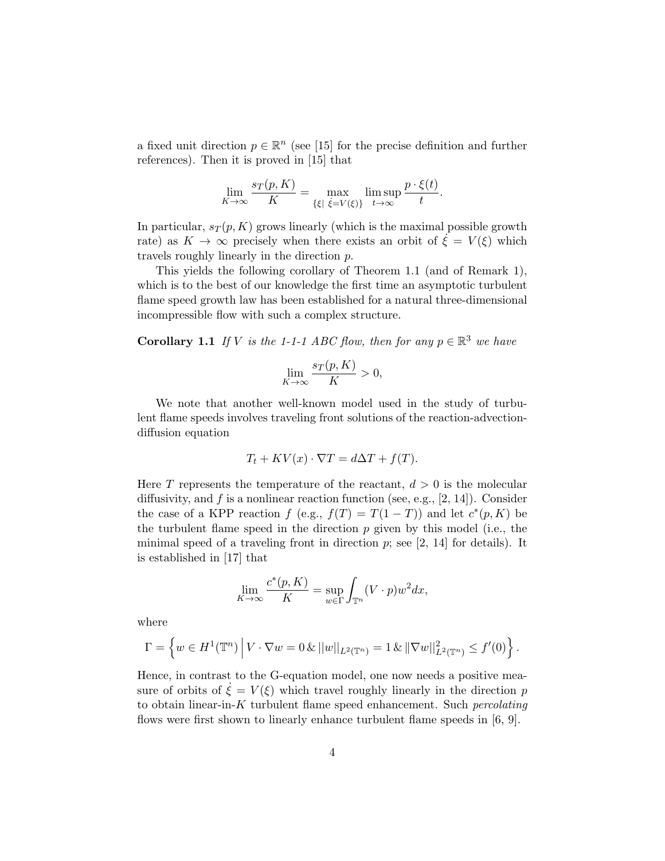a fixed unit direction  $p \in \mathbb{R}^n$  (see [15] for the precise definition and further references). Then it is proved in [15] that

$$
\lim_{K \to \infty} \frac{s_T(p, K)}{K} = \max_{\{\xi \mid \xi = V(\xi)\}} \limsup_{t \to \infty} \frac{p \cdot \xi(t)}{t}.
$$

In particular,  $s_T(p, K)$  grows linearly (which is the maximal possible growth rate) as  $K \to \infty$  precisely when there exists an orbit of  $\xi = V(\xi)$  which travels roughly linearly in the direction p.

This yields the following corollary of Theorem 1.1 (and of Remark 1), which is to the best of our knowledge the first time an asymptotic turbulent flame speed growth law has been established for a natural three-dimensional incompressible flow with such a complex structure.

**Corollary 1.1** If V is the 1-1-1 ABC flow, then for any  $p \in \mathbb{R}^3$  we have

$$
\lim_{K \to \infty} \frac{s_T(p, K)}{K} > 0,
$$

We note that another well-known model used in the study of turbulent flame speeds involves traveling front solutions of the reaction-advectiondiffusion equation

$$
T_t + KV(x) \cdot \nabla T = d\Delta T + f(T).
$$

Here T represents the temperature of the reactant,  $d > 0$  is the molecular diffusivity, and f is a nonlinear reaction function (see, e.g., [2, 14]). Consider the case of a KPP reaction  $f$  (e.g.,  $f(T) = T(1 - T)$ ) and let  $c^*(p, K)$  be the turbulent flame speed in the direction  $p$  given by this model (i.e., the minimal speed of a traveling front in direction  $p$ ; see [2, 14] for details). It is established in [17] that

$$
\lim_{K \to \infty} \frac{c^*(p, K)}{K} = \sup_{w \in \Gamma} \int_{\mathbb{T}^n} (V \cdot p) w^2 dx,
$$

where

$$
\Gamma = \left\{ w \in H^{1}(\mathbb{T}^{n}) \, \middle| \, V \cdot \nabla w = 0 \, \& \, ||w||_{L^{2}(\mathbb{T}^{n})} = 1 \, \& \, ||\nabla w||^{2}_{L^{2}(\mathbb{T}^{n})} \leq f'(0) \right\}.
$$

Hence, in contrast to the G-equation model, one now needs a positive measure of orbits of  $\dot{\xi} = V(\xi)$  which travel roughly linearly in the direction p to obtain linear-in- $K$  turbulent flame speed enhancement. Such *percolating* flows were first shown to linearly enhance turbulent flame speeds in [6, 9].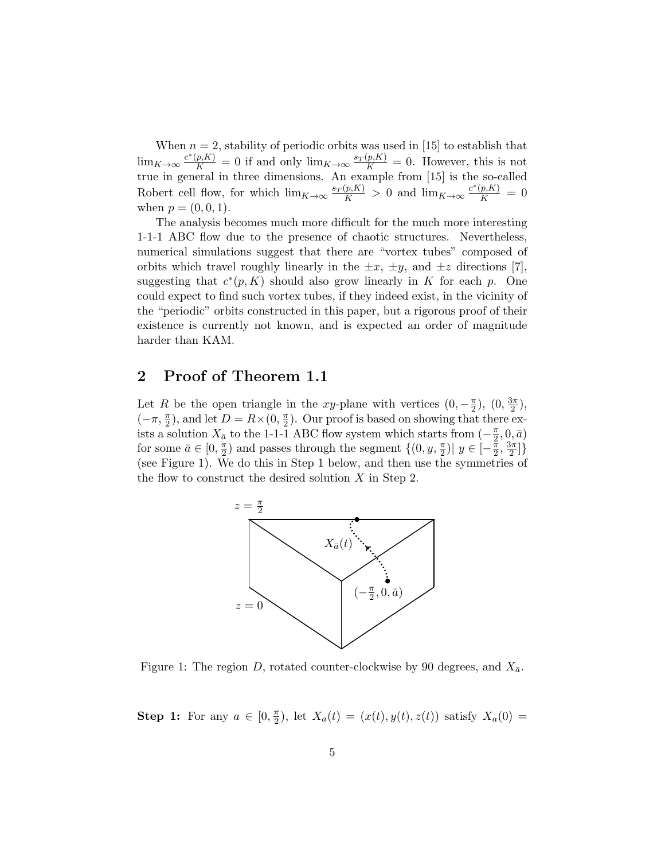When  $n = 2$ , stability of periodic orbits was used in [15] to establish that  $\lim_{K \to \infty} \frac{c^*(p,K)}{K} = 0$  if and only  $\lim_{K \to \infty} \frac{s_T(p,K)}{K} = 0$ . However, this is not true in general in three dimensions. An example from [15] is the so-called Robert cell flow, for which  $\lim_{K\to\infty}\frac{s_T(p,K)}{K} > 0$  and  $\lim_{K\to\infty}\frac{c^*(p,K)}{K} = 0$ when  $p = (0, 0, 1)$ .

The analysis becomes much more difficult for the much more interesting 1-1-1 ABC flow due to the presence of chaotic structures. Nevertheless, numerical simulations suggest that there are "vortex tubes" composed of orbits which travel roughly linearly in the  $\pm x$ ,  $\pm y$ , and  $\pm z$  directions [7], suggesting that  $c^*(p, K)$  should also grow linearly in K for each p. One could expect to find such vortex tubes, if they indeed exist, in the vicinity of the "periodic" orbits constructed in this paper, but a rigorous proof of their existence is currently not known, and is expected an order of magnitude harder than KAM.

## 2 Proof of Theorem 1.1

Let R be the open triangle in the xy-plane with vertices  $(0, -\frac{\pi}{2})$  $(\frac{\pi}{2}), (0, \frac{3\pi}{2})$  $\frac{5\pi}{2}),$  $(-\pi, \frac{\pi}{2})$ , and let  $D = R \times (0, \frac{\pi}{2})$  $\frac{\pi}{2}$ ). Our proof is based on showing that there exists a solution  $X_{\bar{a}}$  to the 1-1-1 ABC flow system which starts from  $(-\frac{\pi}{2})$  $(\frac{\pi}{2},0,\bar a)$ for some  $\bar{a} \in [0, \frac{\pi}{2}]$  $\frac{\pi}{2}$ ) and passes through the segment  $\{(0, y, \frac{\pi}{2}) | y \in [-\frac{\pi}{2}]$  $\frac{\pi}{2}, \frac{3\pi}{2}$  $\frac{3\pi}{2}$ ]} (see Figure 1). We do this in Step 1 below, and then use the symmetries of the flow to construct the desired solution  $X$  in Step 2.



Figure 1: The region D, rotated counter-clockwise by 90 degrees, and  $X_{\bar{a}}$ .

**Step 1:** For any  $a \in [0, \frac{\pi}{2}]$  $(\frac{\pi}{2})$ , let  $X_a(t) = (x(t), y(t), z(t))$  satisfy  $X_a(0) =$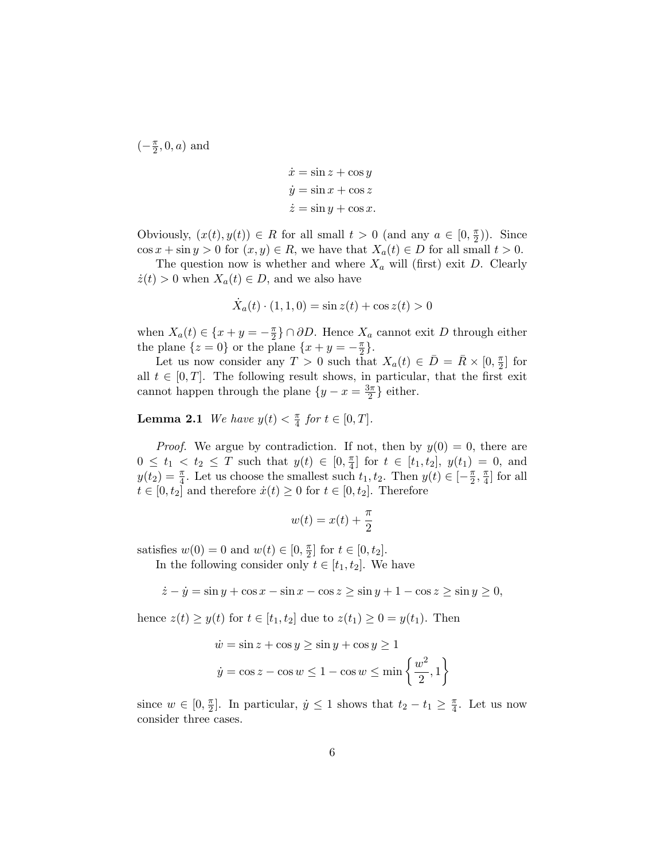$\left(-\frac{\pi}{2}\right)$  $\frac{\pi}{2}$ , 0, a) and

$$
\dot{x} = \sin z + \cos y
$$
  

$$
\dot{y} = \sin x + \cos z
$$
  

$$
\dot{z} = \sin y + \cos x.
$$

Obviously,  $(x(t), y(t)) \in R$  for all small  $t > 0$  (and any  $a \in [0, \frac{\pi}{2}]$  $(\frac{\pi}{2})$ ). Since  $\cos x + \sin y > 0$  for  $(x, y) \in R$ , we have that  $X_a(t) \in D$  for all small  $t > 0$ .

The question now is whether and where  $X_a$  will (first) exit D. Clearly  $\dot{z}(t) > 0$  when  $X_a(t) \in D$ , and we also have

$$
\dot{X}_a(t) \cdot (1, 1, 0) = \sin z(t) + \cos z(t) > 0
$$

when  $X_a(t) \in \{x + y = -\frac{\pi}{2}\}$  $\frac{\pi}{2}$ } ∩ ∂D. Hence  $X_a$  cannot exit D through either the plane  $\{z=0\}$  or the plane  $\{x+y=-\frac{\pi}{2}\}$  $\frac{\pi}{2}$ .

Let us now consider any  $T > 0$  such that  $X_a(t) \in \overline{D} = \overline{R} \times [0, \frac{\pi}{2}]$  $\frac{\pi}{2}$  for all  $t \in [0, T]$ . The following result shows, in particular, that the first exit cannot happen through the plane  $\{y - x = \frac{3\pi}{2}\}$  $\frac{3\pi}{2}$  either.

**Lemma 2.1** We have  $y(t) < \frac{\pi}{4}$  $\frac{\pi}{4}$  for  $t \in [0, T]$ .

*Proof.* We argue by contradiction. If not, then by  $y(0) = 0$ , there are  $0 \leq t_1 \leq t_2 \leq T$  such that  $y(t) \in [0, \frac{\pi}{4}]$  $\left[ \frac{\pi}{4} \right]$  for  $t \in [t_1, t_2], y(t_1) = 0$ , and  $y(t_2) = \frac{\pi}{4}$ . Let us choose the smallest such  $t_1, t_2$ . Then  $y(t) \in [-\frac{\pi}{2}]$  $\frac{\pi}{2}$ ,  $\frac{\pi}{4}$  $\frac{\pi}{4}$  for all  $t \in [0, t_2]$  and therefore  $\dot{x}(t) \ge 0$  for  $t \in [0, t_2]$ . Therefore

$$
w(t) = x(t) + \frac{\pi}{2}
$$

satisfies  $w(0) = 0$  and  $w(t) \in [0, \frac{\pi}{2}]$  $\frac{\pi}{2}$  for  $t \in [0, t_2]$ .

In the following consider only  $t \in [t_1, t_2]$ . We have

 $\dot{z} - \dot{y} = \sin y + \cos x - \sin x - \cos z \ge \sin y + 1 - \cos z \ge \sin y \ge 0,$ 

hence  $z(t) \geq y(t)$  for  $t \in [t_1, t_2]$  due to  $z(t_1) \geq 0 = y(t_1)$ . Then

$$
\dot{w} = \sin z + \cos y \ge \sin y + \cos y \ge 1
$$

$$
\dot{y} = \cos z - \cos w \le 1 - \cos w \le \min\left\{\frac{w^2}{2}, 1\right\}
$$

since  $w \in [0, \frac{\pi}{2}]$  $\frac{\pi}{2}$ . In particular,  $\dot{y} \leq 1$  shows that  $t_2 - t_1 \geq \frac{\pi}{4}$  $\frac{\pi}{4}$ . Let us now consider three cases.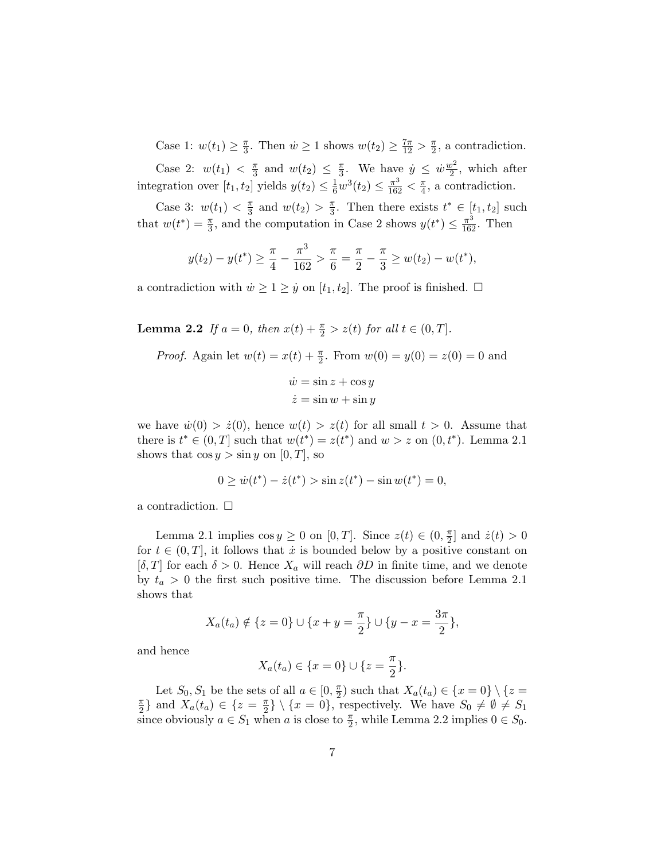Case 1:  $w(t_1) \geq \frac{\pi}{3}$  $\frac{\pi}{3}$ . Then  $\dot{w} \ge 1$  shows  $w(t_2) \ge \frac{7\pi}{12} > \frac{\pi}{2}$  $\frac{\pi}{2}$ , a contradiction.

Case 2:  $w(t_1) < \frac{\pi}{3}$  $\frac{\pi}{3}$  and  $w(t_2) \leq \frac{\pi}{3}$  $\frac{\pi}{3}$ . We have  $\dot{y} \leq \dot{w} \frac{w^2}{2}$  $\frac{v^2}{2}$ , which after integration over  $[t_1, t_2]$  yields  $y(t_2) \leq \frac{1}{6}w^3(t_2) \leq \frac{\pi^3}{162} < \frac{\pi}{4}$  $\frac{\pi}{4}$ , a contradiction.

Case 3:  $w(t_1) < \frac{\pi}{3}$  $\frac{\pi}{3}$  and  $w(t_2) > \frac{\pi}{3}$  $\frac{\pi}{3}$ . Then there exists  $t^* \in [t_1, t_2]$  such that  $w(t^*) = \frac{\pi}{3}$ , and the computation in Case 2 shows  $y(t^*) \leq \frac{\pi^3}{162}$ . Then

$$
y(t_2) - y(t^*) \ge \frac{\pi}{4} - \frac{\pi^3}{162} > \frac{\pi}{6} = \frac{\pi}{2} - \frac{\pi}{3} \ge w(t_2) - w(t^*),
$$

a contradiction with  $\dot{w} \geq 1 \geq \dot{y}$  on  $[t_1, t_2]$ . The proof is finished.  $\Box$ 

**Lemma 2.2** If  $a = 0$ , then  $x(t) + \frac{\pi}{2} > z(t)$  for all  $t \in (0, T]$ .

*Proof.* Again let 
$$
w(t) = x(t) + \frac{\pi}{2}
$$
. From  $w(0) = y(0) = z(0) = 0$  and  
\n
$$
\dot{w} = \sin z + \cos y
$$
\n
$$
\dot{z} = \sin w + \sin y
$$

we have  $\dot{w}(0) > \dot{z}(0)$ , hence  $w(t) > z(t)$  for all small  $t > 0$ . Assume that there is  $t^* \in (0,T]$  such that  $w(t^*) = z(t^*)$  and  $w > z$  on  $(0,t^*)$ . Lemma 2.1 shows that  $\cos y > \sin y$  on [0, T], so

$$
0 \ge \dot{w}(t^*) - \dot{z}(t^*) > \sin z(t^*) - \sin w(t^*) = 0,
$$

a contradiction.  $\Box$ 

Lemma 2.1 implies  $\cos y \ge 0$  on [0, T]. Since  $z(t) \in (0, \frac{\pi}{2})$  $\frac{\pi}{2}$  and  $\dot{z}(t) > 0$ for  $t \in (0,T]$ , it follows that  $\dot{x}$  is bounded below by a positive constant on  $[\delta, T]$  for each  $\delta > 0$ . Hence  $X_a$  will reach  $\partial D$  in finite time, and we denote by  $t_a > 0$  the first such positive time. The discussion before Lemma 2.1 shows that

$$
X_a(t_a) \notin \{z = 0\} \cup \{x + y = \frac{\pi}{2}\} \cup \{y - x = \frac{3\pi}{2}\},\
$$

and hence

$$
X_a(t_a) \in \{x = 0\} \cup \{z = \frac{\pi}{2}\}.
$$

Let  $S_0, S_1$  be the sets of all  $a \in [0, \frac{\pi}{2}]$  $\frac{\pi}{2}$ ) such that  $X_a(t_a) \in \{x = 0\} \setminus \{z =$ π  $\frac{\pi}{2}$  and  $X_a(t_a) \in \{z = \frac{\pi}{2} \}$  $\{\frac{\pi}{2}\}\setminus\{x=0\}$ , respectively. We have  $S_0\neq\emptyset\neq S_1$ since obviously  $a \in S_1$  when a is close to  $\frac{\pi}{2}$ , while Lemma 2.2 implies  $0 \in S_0$ .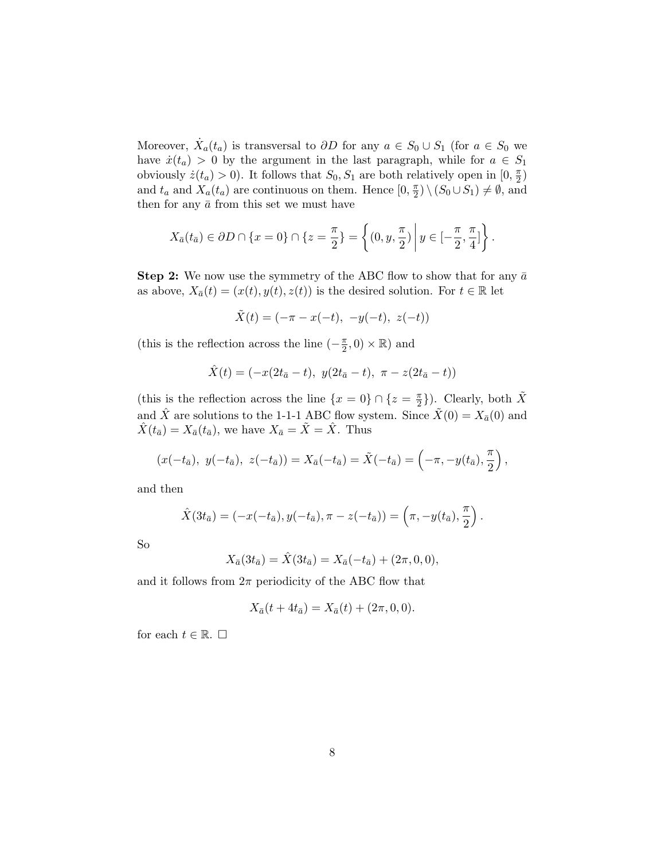Moreover,  $\dot{X}_a(t_a)$  is transversal to  $\partial D$  for any  $a \in S_0 \cup S_1$  (for  $a \in S_0$  we have  $\dot{x}(t_a) > 0$  by the argument in the last paragraph, while for  $a \in S_1$ obviously  $\dot{z}(t_a) > 0$ ). It follows that  $S_0, S_1$  are both relatively open in  $[0, \frac{\pi}{2}]$  $\frac{\pi}{2})$ and  $t_a$  and  $X_a(t_a)$  are continuous on them. Hence  $[0, \frac{\pi}{2}]$  $(\frac{\pi}{2}) \setminus (S_0 \cup S_1) \neq \emptyset$ , and then for any  $\bar{a}$  from this set we must have

$$
X_{\bar{a}}(t_{\bar{a}}) \in \partial D \cap \{x = 0\} \cap \{z = \frac{\pi}{2}\} = \left\{(0, y, \frac{\pi}{2}) \middle| y \in [-\frac{\pi}{2}, \frac{\pi}{4}]\right\}.
$$

**Step 2:** We now use the symmetry of the ABC flow to show that for any  $\bar{a}$ as above,  $X_{\bar{a}}(t) = (x(t), y(t), z(t))$  is the desired solution. For  $t \in \mathbb{R}$  let

$$
\tilde{X}(t) = (-\pi - x(-t), -y(-t), z(-t))
$$

(this is the reflection across the line  $\left(-\frac{\pi}{2}\right)$  $(\frac{\pi}{2}, 0) \times \mathbb{R}$  and

$$
\hat{X}(t) = (-x(2t_{\bar{a}} - t), y(2t_{\bar{a}} - t), \pi - z(2t_{\bar{a}} - t))
$$

(this is the reflection across the line  $\{x=0\} \cap \{z=\frac{\pi}{2}\}$  $\frac{\pi}{2}$ . Clearly, both  $\tilde{X}$ and  $\hat{X}$  are solutions to the 1-1-1 ABC flow system. Since  $\tilde{X}(0) = X_{\bar{a}}(0)$  and  $\hat{X}(t_{\bar{a}}) = X_{\bar{a}}(t_{\bar{a}})$ , we have  $X_{\bar{a}} = \tilde{X} = \hat{X}$ . Thus

$$
(x(-t_{\bar{a}}), y(-t_{\bar{a}}), z(-t_{\bar{a}})) = X_{\bar{a}}(-t_{\bar{a}}) = \tilde{X}(-t_{\bar{a}}) = \left(-\pi, -y(t_{\bar{a}}), \frac{\pi}{2}\right),
$$

and then

$$
\hat{X}(3t_{\bar{a}}) = (-x(-t_{\bar{a}}), y(-t_{\bar{a}}), \pi - z(-t_{\bar{a}})) = (\pi, -y(t_{\bar{a}}), \frac{\pi}{2}).
$$

So

$$
X_{\bar{a}}(3t_{\bar{a}}) = \hat{X}(3t_{\bar{a}}) = X_{\bar{a}}(-t_{\bar{a}}) + (2\pi, 0, 0),
$$

and it follows from  $2\pi$  periodicity of the ABC flow that

$$
X_{\bar{a}}(t + 4t_{\bar{a}}) = X_{\bar{a}}(t) + (2\pi, 0, 0).
$$

for each  $t \in \mathbb{R}$ .  $\Box$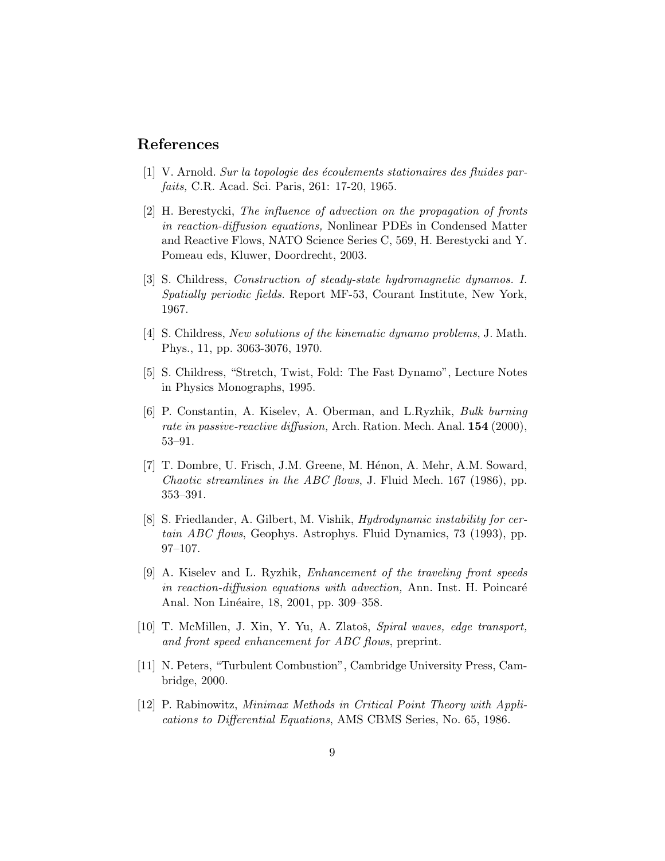## References

- [1] V. Arnold. Sur la topologie des écoulements stationaires des fluides parfaits, C.R. Acad. Sci. Paris, 261: 17-20, 1965.
- [2] H. Berestycki, The influence of advection on the propagation of fronts in reaction-diffusion equations, Nonlinear PDEs in Condensed Matter and Reactive Flows, NATO Science Series C, 569, H. Berestycki and Y. Pomeau eds, Kluwer, Doordrecht, 2003.
- [3] S. Childress, Construction of steady-state hydromagnetic dynamos. I. Spatially periodic fields. Report MF-53, Courant Institute, New York, 1967.
- [4] S. Childress, New solutions of the kinematic dynamo problems, J. Math. Phys., 11, pp. 3063-3076, 1970.
- [5] S. Childress, "Stretch, Twist, Fold: The Fast Dynamo", Lecture Notes in Physics Monographs, 1995.
- [6] P. Constantin, A. Kiselev, A. Oberman, and L.Ryzhik, Bulk burning rate in passive-reactive diffusion, Arch. Ration. Mech. Anal. 154 (2000), 53–91.
- [7] T. Dombre, U. Frisch, J.M. Greene, M. Hénon, A. Mehr, A.M. Soward, Chaotic streamlines in the ABC flows, J. Fluid Mech. 167 (1986), pp. 353–391.
- [8] S. Friedlander, A. Gilbert, M. Vishik, Hydrodynamic instability for certain ABC flows, Geophys. Astrophys. Fluid Dynamics, 73 (1993), pp. 97–107.
- [9] A. Kiselev and L. Ryzhik, Enhancement of the traveling front speeds in reaction-diffusion equations with advection, Ann. Inst. H. Poincaré Anal. Non Linéaire, 18, 2001, pp. 309–358.
- [10] T. McMillen, J. Xin, Y. Yu, A. Zlatoš, *Spiral waves, edge transport*, and front speed enhancement for ABC flows, preprint.
- [11] N. Peters, "Turbulent Combustion", Cambridge University Press, Cambridge, 2000.
- [12] P. Rabinowitz, Minimax Methods in Critical Point Theory with Applications to Differential Equations, AMS CBMS Series, No. 65, 1986.